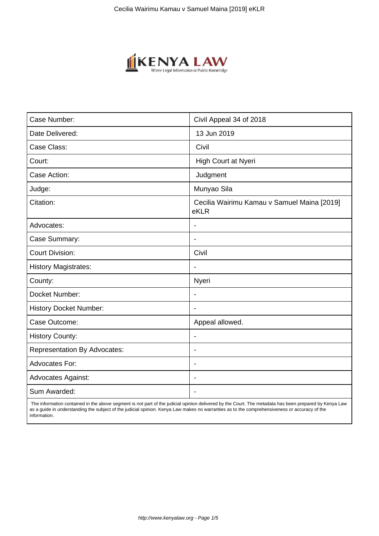

| Case Number:                        | Civil Appeal 34 of 2018                             |
|-------------------------------------|-----------------------------------------------------|
| Date Delivered:                     | 13 Jun 2019                                         |
| Case Class:                         | Civil                                               |
| Court:                              | High Court at Nyeri                                 |
| Case Action:                        | Judgment                                            |
| Judge:                              | Munyao Sila                                         |
| Citation:                           | Cecilia Wairimu Kamau v Samuel Maina [2019]<br>eKLR |
| Advocates:                          |                                                     |
| Case Summary:                       | $\blacksquare$                                      |
| <b>Court Division:</b>              | Civil                                               |
| <b>History Magistrates:</b>         |                                                     |
| County:                             | Nyeri                                               |
| Docket Number:                      | $\overline{\phantom{a}}$                            |
| <b>History Docket Number:</b>       | $\blacksquare$                                      |
| Case Outcome:                       | Appeal allowed.                                     |
| <b>History County:</b>              | $\blacksquare$                                      |
| <b>Representation By Advocates:</b> | $\blacksquare$                                      |
| <b>Advocates For:</b>               | $\blacksquare$                                      |
| <b>Advocates Against:</b>           | $\blacksquare$                                      |
| Sum Awarded:                        |                                                     |

 The information contained in the above segment is not part of the judicial opinion delivered by the Court. The metadata has been prepared by Kenya Law as a guide in understanding the subject of the judicial opinion. Kenya Law makes no warranties as to the comprehensiveness or accuracy of the information.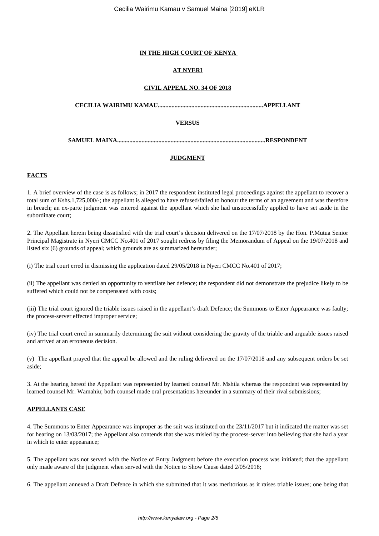## **IN THE HIGH COURT OF KENYA**

# **AT NYERI**

# **CIVIL APPEAL NO. 34 OF 2018**

**CECILIA WAIRIMU KAMAU.....................................................................APPELLANT**

## **VERSUS**

**SAMUEL MAINA.................................................................................................RESPONDENT**

## **JUDGMENT**

# **FACTS**

1. A brief overview of the case is as follows; in 2017 the respondent instituted legal proceedings against the appellant to recover a total sum of Kshs.1,725,000/-; the appellant is alleged to have refused/failed to honour the terms of an agreement and was therefore in breach; an ex-parte judgment was entered against the appellant which she had unsuccessfully applied to have set aside in the subordinate court;

2. The Appellant herein being dissatisfied with the trial court's decision delivered on the 17/07/2018 by the Hon. P.Mutua Senior Principal Magistrate in Nyeri CMCC No.401 of 2017 sought redress by filing the Memorandum of Appeal on the 19/07/2018 and listed six (6) grounds of appeal; which grounds are as summarized hereunder;

(i) The trial court erred in dismissing the application dated 29/05/2018 in Nyeri CMCC No.401 of 2017;

(ii) The appellant was denied an opportunity to ventilate her defence; the respondent did not demonstrate the prejudice likely to be suffered which could not be compensated with costs;

(iii) The trial court ignored the triable issues raised in the appellant's draft Defence; the Summons to Enter Appearance was faulty; the process-server effected improper service;

(iv) The trial court erred in summarily determining the suit without considering the gravity of the triable and arguable issues raised and arrived at an erroneous decision.

(v) The appellant prayed that the appeal be allowed and the ruling delivered on the 17/07/2018 and any subsequent orders be set aside;

3. At the hearing hereof the Appellant was represented by learned counsel Mr. Mshila whereas the respondent was represented by learned counsel Mr. Wamahiu; both counsel made oral presentations hereunder in a summary of their rival submissions;

## **APPELLANTS CASE**

4. The Summons to Enter Appearance was improper as the suit was instituted on the 23/11/2017 but it indicated the matter was set for hearing on 13/03/2017; the Appellant also contends that she was misled by the process-server into believing that she had a year in which to enter appearance;

5. The appellant was not served with the Notice of Entry Judgment before the execution process was initiated; that the appellant only made aware of the judgment when served with the Notice to Show Cause dated 2/05/2018;

6. The appellant annexed a Draft Defence in which she submitted that it was meritorious as it raises triable issues; one being that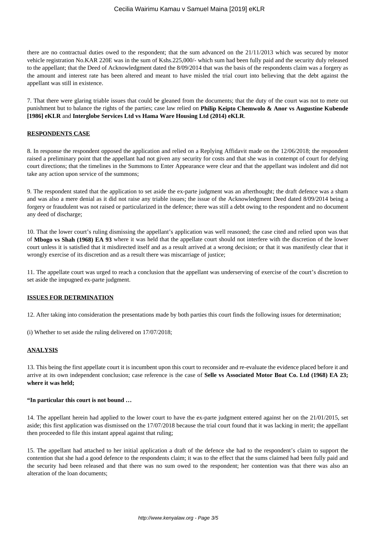there are no contractual duties owed to the respondent; that the sum advanced on the 21/11/2013 which was secured by motor vehicle registration No.KAR 220E was in the sum of Kshs.225,000/- which sum had been fully paid and the security duly released to the appellant; that the Deed of Acknowledgment dated the 8/09/2014 that was the basis of the respondents claim was a forgery as the amount and interest rate has been altered and meant to have misled the trial court into believing that the debt against the appellant was still in existence.

7. That there were glaring triable issues that could be gleaned from the documents; that the duty of the court was not to mete out punishment but to balance the rights of the parties; case law relied on **Philip Keipto Chemwolo & Anor vs Augustine Kubende [1986] eKLR** and **Interglobe Services Ltd vs Hama Ware Housing Ltd (2014) eKLR**.

### **RESPONDENTS CASE**

8. In response the respondent opposed the application and relied on a Replying Affidavit made on the 12/06/2018; the respondent raised a preliminary point that the appellant had not given any security for costs and that she was in contempt of court for defying court directions; that the timelines in the Summons to Enter Appearance were clear and that the appellant was indolent and did not take any action upon service of the summons;

9. The respondent stated that the application to set aside the ex-parte judgment was an afterthought; the draft defence was a sham and was also a mere denial as it did not raise any triable issues; the issue of the Acknowledgment Deed dated 8/09/2014 being a forgery or fraudulent was not raised or particularized in the defence; there was still a debt owing to the respondent and no document any deed of discharge;

10. That the lower court's ruling dismissing the appellant's application was well reasoned; the case cited and relied upon was that of **Mbogo vs Shah (1968) EA 93** where it was held that the appellate court should not interfere with the discretion of the lower court unless it is satisfied that it misdirected itself and as a result arrived at a wrong decision; or that it was manifestly clear that it wrongly exercise of its discretion and as a result there was miscarriage of justice;

11. The appellate court was urged to reach a conclusion that the appellant was underserving of exercise of the court's discretion to set aside the impugned ex-parte judgment.

#### **ISSUES FOR DETRMINATION**

12. After taking into consideration the presentations made by both parties this court finds the following issues for determination;

(i) Whether to set aside the ruling delivered on 17/07/2018;

## **ANALYSIS**

13. This being the first appellate court it is incumbent upon this court to reconsider and re-evaluate the evidence placed before it and arrive at its own independent conclusion; case reference is the case of **Selle vs Associated Motor Boat Co. Ltd (1968) EA 23; where it was held;**

#### **"In particular this court is not bound …**

14. The appellant herein had applied to the lower court to have the ex-parte judgment entered against her on the 21/01/2015, set aside; this first application was dismissed on the 17/07/2018 because the trial court found that it was lacking in merit; the appellant then proceeded to file this instant appeal against that ruling;

15. The appellant had attached to her initial application a draft of the defence she had to the respondent's claim to support the contention that she had a good defence to the respondents claim; it was to the effect that the sums claimed had been fully paid and the security had been released and that there was no sum owed to the respondent; her contention was that there was also an alteration of the loan documents;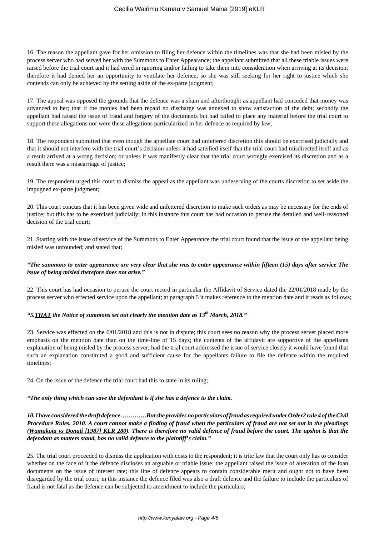16. The reason the appellant gave for her omission to filing her defence within the timelines was that she had been misled by the process server who had served her with the Summons to Enter Appearance; the appellant submitted that all these triable issues were raised before the trial court and it had erred in ignoring and/or failing to take them into consideration when arriving at its decision; therefore it had denied her an opportunity to ventilate her defence; so she was still seeking for her right to justice which she contends can only be achieved by the setting aside of the ex-parte judgment;

17. The appeal was opposed the grounds that the defence was a sham and afterthought as appellant had conceded that money was advanced to her; that if the monies had been repaid no discharge was annexed to show satisfaction of the debt; secondly the appellant had raised the issue of fraud and forgery of the documents but had failed to place any material before the trial court to support these allegations nor were these allegations particularized in her defence as required by law;

18. The respondent submitted that even though the appellate court had unfettered discretion this should be exercised judicially and that it should not interfere with the trial court's decision unless it had satisfied itself that the trial court had misdirected itself and as a result arrived at a wrong decision; or unless it was manifestly clear that the trial court wrongly exercised its discretion and as a result there was a miscarriage of justice;

19. The respondent urged this court to dismiss the appeal as the appellant was undeserving of the courts discretion to set aside the impugned ex-parte judgment;

20. This court concurs that it has been given wide and unfettered discretion to make such orders as may be necessary for the ends of justice; but this has to be exercised judicially; in this instance this court has had occasion to peruse the detailed and well-reasoned decision of the trial court;

21. Starting with the issue of service of the Summons to Enter Appearance the trial court found that the issue of the appellant being misled was unfounded; and stated that;

## *"The summons to enter appearance are very clear that she was to enter appearance within fifteen (15) days after service The issue of being misled therefore does not arise."*

22. This court has had occasion to peruse the court record in particular the Affidavit of Service dated the 22/01/2018 made by the process server who effected service upon the appellant; at paragraph 5 it makes reference to the mention date and it reads as follows;

# *"5.THAT the Notice of summons set out clearly the mention date as 13th March, 2018."*

23. Service was effected on the 6/01/2018 and this is not in dispute; this court sees no reason why the process server placed more emphasis on the mention date than on the time-line of 15 days; the contents of the affidavit are supportive of the appellants explanation of being misled by the process server; had the trial court addressed the issue of service closely it would have found that such an explanation constituted a good and sufficient cause for the appellants failure to file the defence within the required timelines;

24. On the issue of the defence the trial court had this to state in its ruling;

## *"The only thing which can save the defendant is if she has a defence to the claim.*

*10. I have considered the draft defence………….But she provides no particulars of fraud as required under Order2 rule 4 of the Civil Procedure Rules, 2010. A court cannot make a finding of fraud when the particulars of fraud are not set out in the pleadings (Wamukota vs Donati [1987] KLR 280). There is therefore no valid defence of fraud before the court. The upshot is that the defendant as matters stand, has no valid defence to the plaintiff's claim."*

25. The trial court proceeded to dismiss the application with costs to the respondent; it is trite law that the court only has to consider whether on the face of it the defence discloses an arguable or triable issue; the appellant raised the issue of alteration of the loan documents on the issue of interest rate; this line of defence appears to contain considerable merit and ought not to have been disregarded by the trial court; in this instance the defence filed was also a draft defence and the failure to include the particulars of fraud is not fatal as the defence can be subjected to amendment to include the particulars;